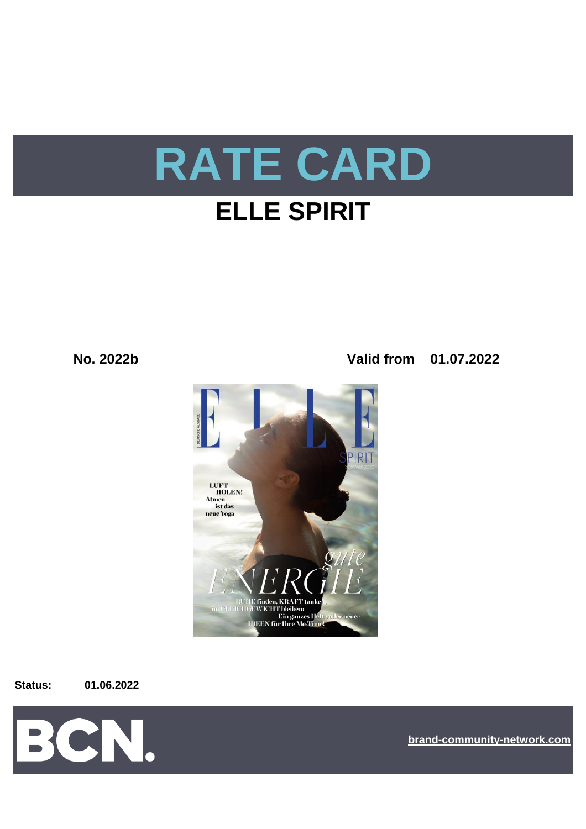

**No. 2022b Valid from 01.07.2022**



**Status: 01.06.2022**



**[bra](https://bcn.burda.com/)nd-community-network.com**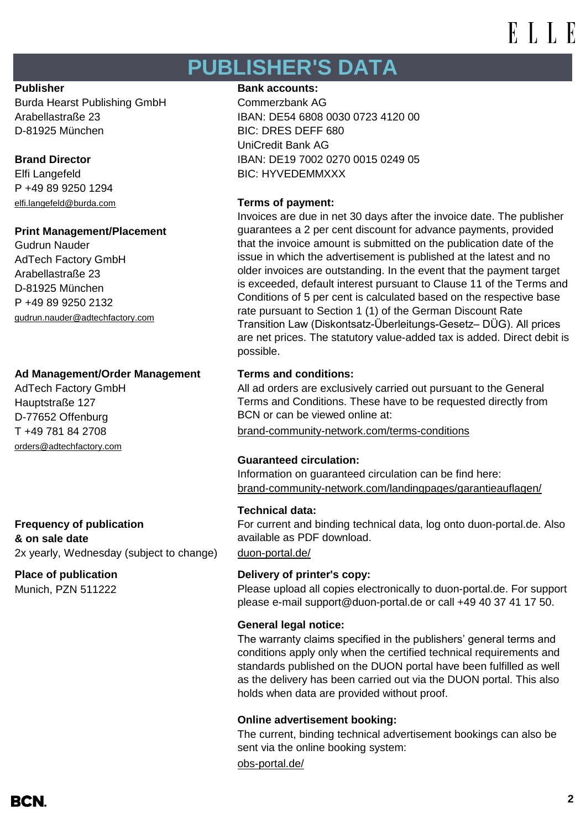## **PUBLISHER'S DATA**

Burda Hearst Publishing GmbH Commerzbank AG D-81925 München BIC: DRES DEFF 680

P +49 89 9250 1294 [elfi.langefeld@burda.com](mailto:elfi.langefeld@burda.com) **Terms of payment:**

#### **Print Management/Placement**

Gudrun Nauder AdTech Factory GmbH Arabellastraße 23 D-81925 München P +49 89 9250 2132 [gudrun.nauder@adtechfactory.com](mailto:gudrun.nauder@adtechfactory.com)

## **Ad Management/Order Management Terms and conditions:**

AdTech Factory GmbH Hauptstraße 127 D-77652 Offenburg [orders@adtechfactory.com](mailto:orders@adtechfactory.com)

**Frequency of publication & on sale date** 2x yearly, Wednesday (subject to change) [duon-portal.de/](https://duon-portal.de/)

Munich, PZN 511222

#### **Publisher Bank accounts: Bank accounts:**

Arabellastraße 23 IBAN: DE54 6808 0030 0723 4120 00 UniCredit Bank AG **Brand Director IBAN: DE19 7002 0270 0015 0249 05** Elfi Langefeld BIC: HYVEDEMMXXX

Invoices are due in net 30 days after the invoice date. The publisher guarantees a 2 per cent discount for advance payments, provided that the invoice amount is submitted on the publication date of the issue in which the advertisement is published at the latest and no older invoices are outstanding. In the event that the payment target is exceeded, default interest pursuant to Clause 11 of the Terms and Conditions of 5 per cent is calculated based on the respective base rate pursuant to Section 1 (1) of the German Discount Rate Transition Law (Diskontsatz-Überleitungs-Gesetz– DÜG). All prices are net prices. The statutory value-added tax is added. Direct debit is possible.

All ad orders are exclusively carried out pursuant to the General Terms and Conditions. These have to be requested directly from BCN or can be viewed online at:

T +49 781 84 2708 [brand-community-network.com/terms-conditions](https://bcn.burda.com/terms-conditions)

### **Guaranteed circulation:**

Information on guaranteed circulation can be find here: [brand-community-network.com/landingpages/garantieauflagen/](https://bcn.burda.com/garantieauflagen)

### **Technical data:**

For current and binding technical data, log onto duon-portal.de. Also available as PDF download.

### **Place of publication Delivery of printer's copy:**

Please upload all copies electronically to duon-portal.de. For support please e-mail support@duon-portal.de or call +49 40 37 41 17 50.

### **General legal notice:**

The warranty claims specified in the publishers' general terms and conditions apply only when the certified technical requirements and standards published on the DUON portal have been fulfilled as well as the delivery has been carried out via the DUON portal. This also holds when data are provided without proof.

### **Online advertisement booking:**

The current, binding technical advertisement bookings can also be sent via the online booking system:

[obs-portal.de/](https://www.obs-portal.de/)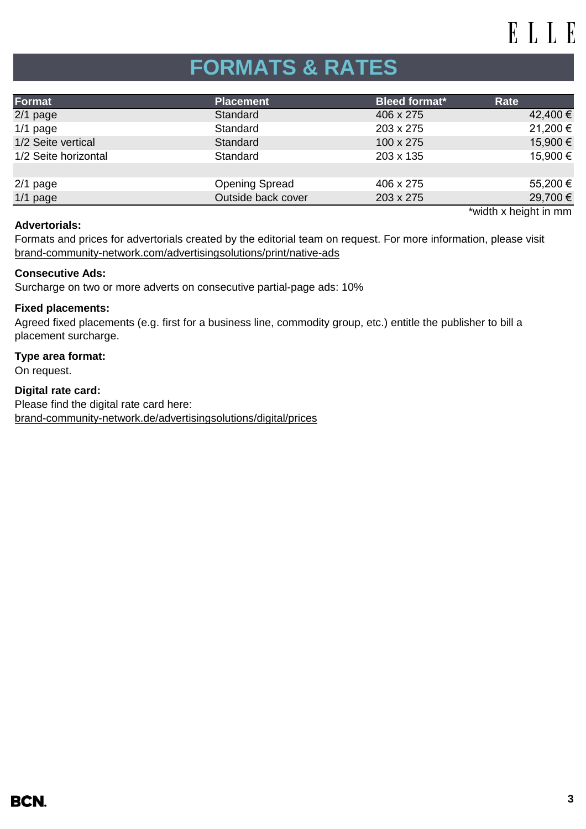# **FORMATS & RATES**

| Format               | <b>Placement</b>      | <b>Bleed format*</b> | Rate                  |
|----------------------|-----------------------|----------------------|-----------------------|
| $2/1$ page           | Standard              | 406 x 275            | 42,400 €              |
| $1/1$ page           | Standard              | 203 x 275            | 21,200 €              |
| 1/2 Seite vertical   | Standard              | 100 x 275            | 15,900 €              |
| 1/2 Seite horizontal | Standard              | 203 x 135            | 15,900 €              |
|                      |                       |                      |                       |
| $2/1$ page           | <b>Opening Spread</b> | 406 x 275            | 55,200 €              |
| $1/1$ page           | Outside back cover    | 203 x 275            | 29,700 €              |
|                      |                       |                      | *width x height in mm |

#### **Advertorials:**

[brand-community-network.com/advertisin](https://bcn.burda.com/advertisingsolutions/print/native-ads)gsolutions/print/native-ads Formats and prices for advertorials created by the editorial team on request. For more information, please visit

#### **Consecutive Ads:**

Surcharge on two or more adverts on consecutive partial-page ads: 10%

#### **Fixed placements:**

Agreed fixed placements (e.g. first for a business line, commodity group, etc.) entitle the publisher to bill a placement surcharge.

## **Type area format:**

On request.

**Digital rate card:** Please find the digital rate card here: [brand-community-network.de/advertisingsolutions/digital/prices](https://bcn.burda.com/advertisingsolutions/digital/prices)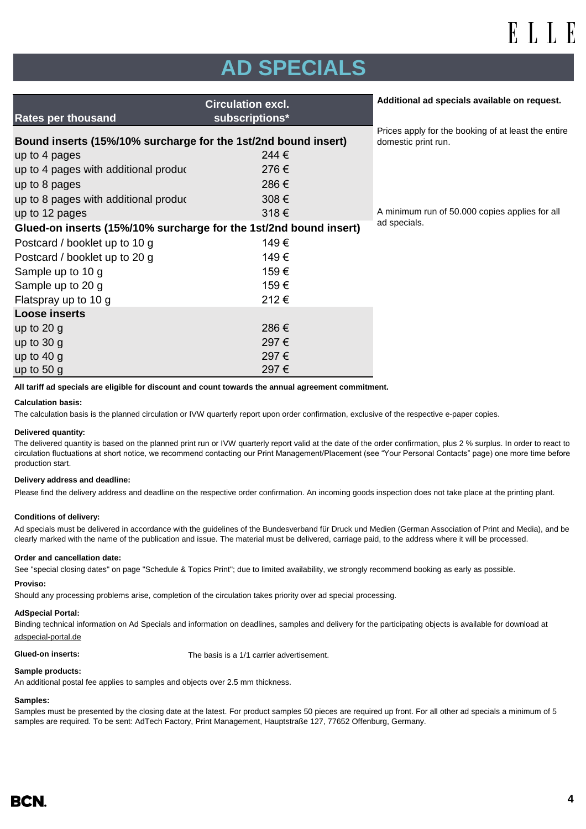# **AD SPECIALS**

| Prices apply for the booking of at least the entire<br>domestic print run. |
|----------------------------------------------------------------------------|
|                                                                            |
|                                                                            |
|                                                                            |
|                                                                            |
| A minimum run of 50.000 copies applies for all                             |
| ad specials.                                                               |
|                                                                            |
|                                                                            |
|                                                                            |
|                                                                            |
|                                                                            |
|                                                                            |
|                                                                            |
|                                                                            |
|                                                                            |
|                                                                            |
|                                                                            |

**All tariff ad specials are eligible for discount and count towards the annual agreement commitment.**

#### **Calculation basis:**

The calculation basis is the planned circulation or IVW quarterly report upon order confirmation, exclusive of the respective e-paper copies.

#### **Delivered quantity:**

The delivered quantity is based on the planned print run or IVW quarterly report valid at the date of the order confirmation, plus 2 % surplus. In order to react to circulation fluctuations at short notice, we recommend contacting our Print Management/Placement (see "Your Personal Contacts" page) one more time before production start.

#### **Delivery address and deadline:**

Please find the delivery address and deadline on the respective order confirmation. An incoming goods inspection does not take place at the printing plant.

#### **Conditions of delivery:**

Ad specials must be delivered in accordance with the guidelines of the Bundesverband für Druck und Medien (German Association of Print and Media), and be clearly marked with the name of the publication and issue. The material must be delivered, carriage paid, to the address where it will be processed.

#### **Order and cancellation date:**

See "special closing dates" on page "Schedule & Topics Print"; due to limited availability, we strongly recommend booking as early as possible.

#### **Proviso:**

Should any processing problems arise, completion of the circulation takes priority over ad special processing.

#### **AdSpecial Portal:**

Binding technical information on Ad Specials and information on deadlines, samples and delivery for the participating objects is available for download at adspecial-portal.de

**Glued-on inserts:** The basis is a 1/1 carrier advertisement.

#### **Sample products:**

An additional postal fee applies to samples and objects over 2.5 mm thickness.

#### **Samples:**

Samples must be presented by the closing date at the latest. For product samples 50 pieces are required up front. For all other ad specials a minimum of 5 samples are required. To be sent: AdTech Factory, Print Management, Hauptstraße 127, 77652 Offenburg, Germany.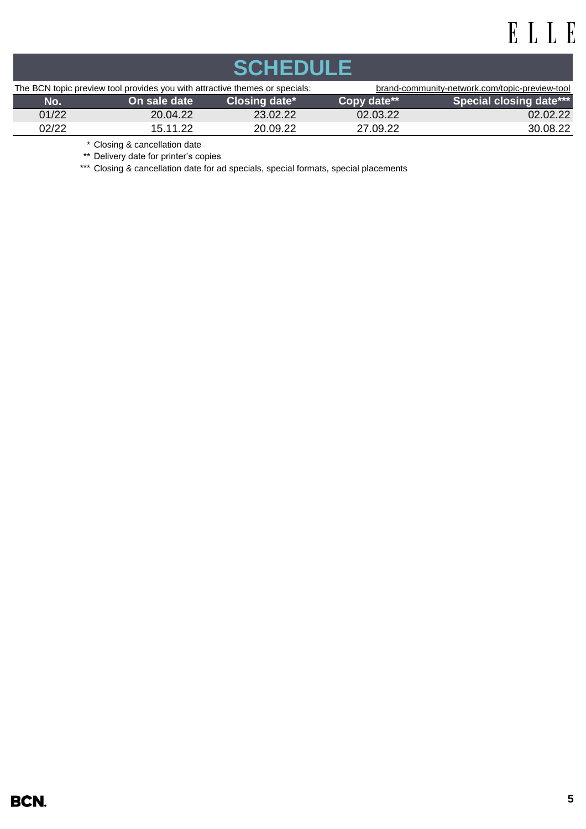| SCHEDIJIES                                                                  |              |               |                                                |                                |  |  |
|-----------------------------------------------------------------------------|--------------|---------------|------------------------------------------------|--------------------------------|--|--|
| The BCN topic preview tool provides you with attractive themes or specials: |              |               | brand-community-network.com/topic-preview-tool |                                |  |  |
| No.                                                                         | On sale date | Closing date* | Copy date**                                    | <b>Special closing date***</b> |  |  |
| 01/22                                                                       | 20.04.22     | 23.02.22      | 02.03.22                                       | 02.02.22                       |  |  |
| 02/22                                                                       | 15.11.22     | 20.09.22      | 27.09.22                                       | 30.08.22                       |  |  |

\* Closing & cancellation date

\*\* Delivery date for printer's copies

\*\*\* Closing & cancellation date for ad specials, special formats, special placements